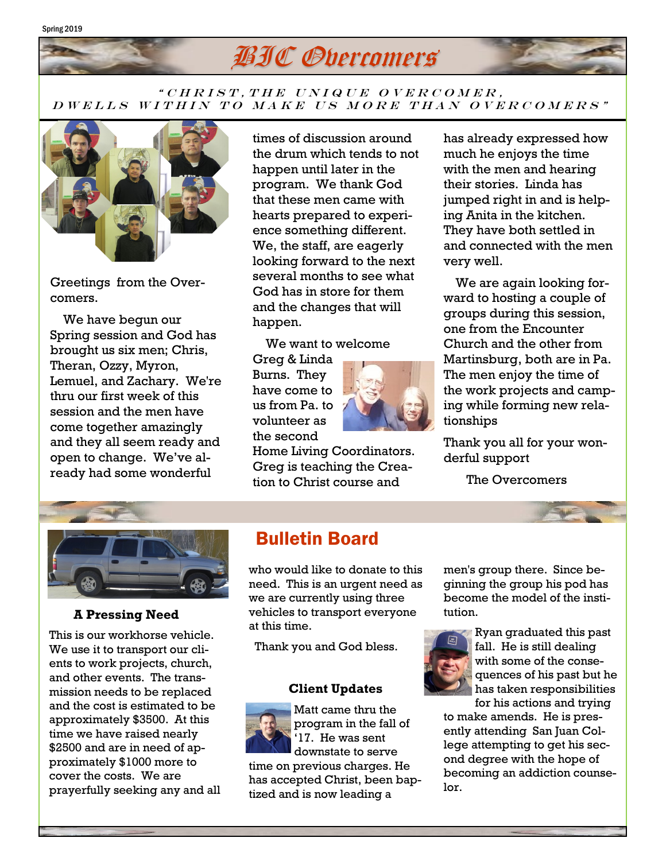#### Spring 2019



### " CHRIST, THE UNIQUE OVERCOMER, D W E L L S W I T H I N T O MAKE US MORE T HAN OVER COMERS"



Greetings from the Overcomers.

 We have begun our Spring session and God has brought us six men; Chris, Theran, Ozzy, Myron, Lemuel, and Zachary. We're thru our first week of this session and the men have come together amazingly and they all seem ready and open to change. We've already had some wonderful

times of discussion around the drum which tends to not happen until later in the program. We thank God that these men came with hearts prepared to experience something different. We, the staff, are eagerly looking forward to the next several months to see what God has in store for them and the changes that will happen.

We want to welcome

Greg & Linda Burns. They have come to us from Pa. to volunteer as the second

Home Living Coordinators. Greg is teaching the Creation to Christ course and

has already expressed how much he enjoys the time with the men and hearing their stories. Linda has jumped right in and is helping Anita in the kitchen. They have both settled in and connected with the men very well.

 We are again looking forward to hosting a couple of groups during this session, one from the Encounter Church and the other from Martinsburg, both are in Pa. The men enjoy the time of the work projects and camping while forming new relationships

Thank you all for your wonderful support

The Overcomers



### **A Pressing Need**

This is our workhorse vehicle. We use it to transport our clients to work projects, church, and other events. The transmission needs to be replaced and the cost is estimated to be approximately \$3500. At this time we have raised nearly \$2500 and are in need of approximately \$1000 more to cover the costs. We are prayerfully seeking any and all

## Bulletin Board

who would like to donate to this need. This is an urgent need as we are currently using three vehicles to transport everyone at this time.

Thank you and God bless.

### **Client Updates**

Matt came thru the program in the fall of '17. He was sent downstate to serve time on previous charges. He has accepted Christ, been baptized and is now leading a

men's group there. Since beginning the group his pod has become the model of the institution.



Ryan graduated this past fall. He is still dealing with some of the consequences of his past but he has taken responsibilities

for his actions and trying to make amends. He is presently attending San Juan College attempting to get his second degree with the hope of becoming an addiction counselor.